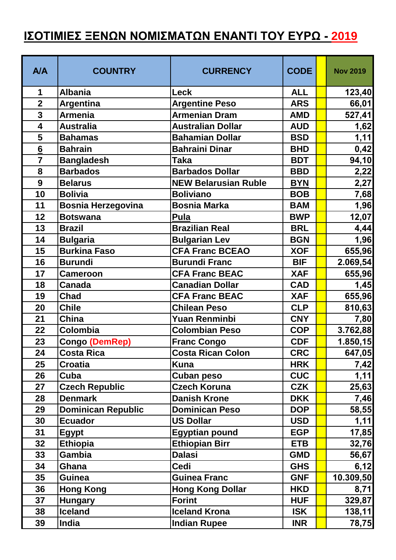## **ΙΣΟΤΙΜΙΕΣ ΞΕΝΩΝ ΝΟΜΙΣΜΑΤΩΝ ΕΝΑΝΤΙ ΤΟΥ ΕΥΡΩ - 2019**

| <b>A/A</b>       | <b>COUNTRY</b>            | <b>CURRENCY</b>             | <b>CODE</b> | <b>Nov 2019</b> |
|------------------|---------------------------|-----------------------------|-------------|-----------------|
| $\mathbf 1$      | <b>Albania</b>            | <b>Leck</b>                 | <b>ALL</b>  | 123,40          |
| $\overline{2}$   | Argentina                 | <b>Argentine Peso</b>       | <b>ARS</b>  | 66,01           |
| 3                | <b>Armenia</b>            | <b>Armenian Dram</b>        | <b>AMD</b>  | 527,41          |
| 4                | <b>Australia</b>          | <b>Australian Dollar</b>    | <b>AUD</b>  | 1,62            |
| 5                | <b>Bahamas</b>            | <b>Bahamian Dollar</b>      | <b>BSD</b>  | 1,11            |
| $6 \overline{6}$ | <b>Bahrain</b>            | <b>Bahraini Dinar</b>       | <b>BHD</b>  | 0,42            |
| $\overline{7}$   | <b>Bangladesh</b>         | Taka                        | <b>BDT</b>  | 94,10           |
| 8                | <b>Barbados</b>           | <b>Barbados Dollar</b>      | <b>BBD</b>  | 2,22            |
| 9                | <b>Belarus</b>            | <b>NEW Belarusian Ruble</b> | <b>BYN</b>  | 2,27            |
| 10               | <b>Bolivia</b>            | <b>Boliviano</b>            | <b>BOB</b>  | 7,68            |
| 11               | <b>Bosnia Herzegovina</b> | <b>Bosnia Marka</b>         | <b>BAM</b>  | 1,96            |
| 12               | <b>Botswana</b>           | <b>Pula</b>                 | <b>BWP</b>  | 12,07           |
| 13               | <b>Brazil</b>             | <b>Brazilian Real</b>       | <b>BRL</b>  | 4,44            |
| 14               | <b>Bulgaria</b>           | <b>Bulgarian Lev</b>        | <b>BGN</b>  | 1,96            |
| 15               | <b>Burkina Faso</b>       | <b>CFA Franc BCEAO</b>      | <b>XOF</b>  | 655,96          |
| 16               | <b>Burundi</b>            | <b>Burundi Franc</b>        | <b>BIF</b>  | 2.069,54        |
| 17               | <b>Cameroon</b>           | <b>CFA Franc BEAC</b>       | <b>XAF</b>  | 655,96          |
| 18               | <b>Canada</b>             | <b>Canadian Dollar</b>      | <b>CAD</b>  | 1,45            |
| 19               | <b>Chad</b>               | <b>CFA Franc BEAC</b>       | <b>XAF</b>  | 655,96          |
| 20               | <b>Chile</b>              | <b>Chilean Peso</b>         | <b>CLP</b>  | 810,63          |
| 21               | <b>China</b>              | Yuan Renminbi               | <b>CNY</b>  | 7,80            |
| 22               | Colombia                  | <b>Colombian Peso</b>       | <b>COP</b>  | 3.762,88        |
| 23               | <b>Congo (DemRep)</b>     | <b>Franc Congo</b>          | <b>CDF</b>  | 1.850, 15       |
| 24               | <b>Costa Rica</b>         | <b>Costa Rican Colon</b>    | <b>CRC</b>  | 647,05          |
| 25               | <b>Croatia</b>            | Kuna                        | <b>HRK</b>  | 7,42            |
| 26               | Cuba                      | Cuban peso                  | <b>CUC</b>  | 1,11            |
| 27               | <b>Czech Republic</b>     | <b>Czech Koruna</b>         | <b>CZK</b>  | 25,63           |
| 28               | <b>Denmark</b>            | <b>Danish Krone</b>         | <b>DKK</b>  | 7,46            |
| 29               | <b>Dominican Republic</b> | <b>Dominican Peso</b>       | <b>DOP</b>  | 58,55           |
| 30               | <b>Ecuador</b>            | <b>US Dollar</b>            | <b>USD</b>  | 1,11            |
| 31               | <b>Egypt</b>              | <b>Egyptian pound</b>       | <b>EGP</b>  | 17,85           |
| 32               | <b>Ethiopia</b>           | <b>Ethiopian Birr</b>       | <b>ETB</b>  | 32,76           |
| 33               | Gambia                    | <b>Dalasi</b>               | <b>GMD</b>  | 56,67           |
| 34               | Ghana                     | <b>Cedi</b>                 | <b>GHS</b>  | 6,12            |
| 35               | <b>Guinea</b>             | <b>Guinea Franc</b>         | <b>GNF</b>  | 10.309,50       |
| 36               | <b>Hong Kong</b>          | <b>Hong Kong Dollar</b>     | <b>HKD</b>  | 8,71            |
| 37               | <b>Hungary</b>            | <b>Forint</b>               | <b>HUF</b>  | 329,87          |
| 38               | <b>Iceland</b>            | <b>Iceland Krona</b>        | <b>ISK</b>  | 138,11          |
| 39               | India                     | <b>Indian Rupee</b>         | <b>INR</b>  | 78,75           |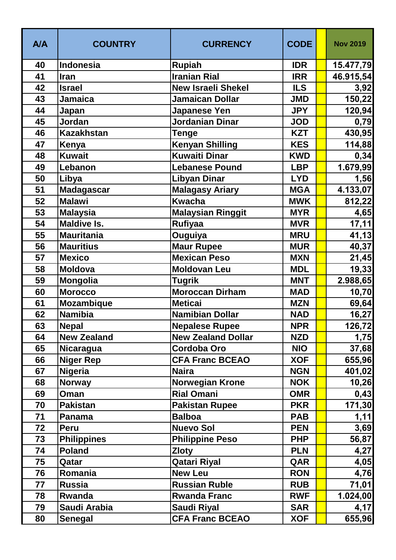| <b>A/A</b> | <b>COUNTRY</b>     | <b>CURRENCY</b>           | <b>CODE</b> | <b>Nov 2019</b> |
|------------|--------------------|---------------------------|-------------|-----------------|
| 40         | <b>Indonesia</b>   | <b>Rupiah</b>             | <b>IDR</b>  | 15.477,79       |
| 41         | Iran               | <b>Iranian Rial</b>       | <b>IRR</b>  | 46.915,54       |
| 42         | <b>Israel</b>      | <b>New Israeli Shekel</b> | <b>ILS</b>  | 3,92            |
| 43         | <b>Jamaica</b>     | <b>Jamaican Dollar</b>    | <b>JMD</b>  | 150,22          |
| 44         | Japan              | Japanese Yen              | <b>JPY</b>  | 120,94          |
| 45         | Jordan             | <b>Jordanian Dinar</b>    | <b>JOD</b>  | 0,79            |
| 46         | <b>Kazakhstan</b>  | <b>Tenge</b>              | <b>KZT</b>  | 430,95          |
| 47         | Kenya              | <b>Kenyan Shilling</b>    | <b>KES</b>  | 114,88          |
| 48         | <b>Kuwait</b>      | <b>Kuwaiti Dinar</b>      | <b>KWD</b>  | 0,34            |
| 49         | Lebanon            | <b>Lebanese Pound</b>     | <b>LBP</b>  | 1.679,99        |
| 50         | Libya              | <b>Libyan Dinar</b>       | <b>LYD</b>  | 1,56            |
| 51         | Madagascar         | <b>Malagasy Ariary</b>    | <b>MGA</b>  | 4.133,07        |
| 52         | <b>Malawi</b>      | <b>Kwacha</b>             | <b>MWK</b>  | 812,22          |
| 53         | <b>Malaysia</b>    | <b>Malaysian Ringgit</b>  | <b>MYR</b>  | 4,65            |
| 54         | <b>Maldive Is.</b> | Rufiyaa                   | <b>MVR</b>  | 17,11           |
| 55         | <b>Mauritania</b>  | Ouguiya                   | <b>MRU</b>  | 41,13           |
| 56         | <b>Mauritius</b>   | <b>Maur Rupee</b>         | <b>MUR</b>  | 40,37           |
| 57         | <b>Mexico</b>      | <b>Mexican Peso</b>       | <b>MXN</b>  | 21,45           |
| 58         | <b>Moldova</b>     | <b>Moldovan Leu</b>       | <b>MDL</b>  | 19,33           |
| 59         | <b>Mongolia</b>    | <b>Tugrik</b>             | <b>MNT</b>  | 2.988,65        |
| 60         | <b>Morocco</b>     | <b>Moroccan Dirham</b>    | <b>MAD</b>  | 10,70           |
| 61         | <b>Mozambique</b>  | <b>Meticai</b>            | <b>MZN</b>  | 69,64           |
| 62         | <b>Namibia</b>     | <b>Namibian Dollar</b>    | <b>NAD</b>  | 16,27           |
| 63         | <b>Nepal</b>       | <b>Nepalese Rupee</b>     | <b>NPR</b>  | 126,72          |
| 64         | <b>New Zealand</b> | <b>New Zealand Dollar</b> | <b>NZD</b>  | 1,75            |
| 65         | Nicaragua          | <b>Cordoba Oro</b>        | <b>NIO</b>  | 37,68           |
| 66         | <b>Niger Rep</b>   | <b>CFA Franc BCEAO</b>    | <b>XOF</b>  | 655,96          |
| 67         | <b>Nigeria</b>     | <b>Naira</b>              | <b>NGN</b>  | 401,02          |
| 68         | <b>Norway</b>      | <b>Norwegian Krone</b>    | <b>NOK</b>  | 10,26           |
| 69         | Oman               | <b>Rial Omani</b>         | <b>OMR</b>  | 0,43            |
| 70         | <b>Pakistan</b>    | <b>Pakistan Rupee</b>     | <b>PKR</b>  | 171,30          |
| 71         | <b>Panama</b>      | <b>Balboa</b>             | <b>PAB</b>  | 1,11            |
| 72         | <b>Peru</b>        | <b>Nuevo Sol</b>          | <b>PEN</b>  | 3,69            |
| 73         | <b>Philippines</b> | <b>Philippine Peso</b>    | <b>PHP</b>  | 56,87           |
| 74         | <b>Poland</b>      | <b>Zloty</b>              | <b>PLN</b>  | 4,27            |
| 75         | Qatar              | <b>Qatari Riyal</b>       | QAR         | 4,05            |
| 76         | Romania            | <b>New Leu</b>            | <b>RON</b>  | 4,76            |
| 77         | <b>Russia</b>      | <b>Russian Ruble</b>      | <b>RUB</b>  | 71,01           |
| 78         | Rwanda             | <b>Rwanda Franc</b>       | <b>RWF</b>  | 1.024,00        |
| 79         | Saudi Arabia       | <b>Saudi Riyal</b>        | <b>SAR</b>  | 4,17            |
| 80         | <b>Senegal</b>     | <b>CFA Franc BCEAO</b>    | <b>XOF</b>  | 655,96          |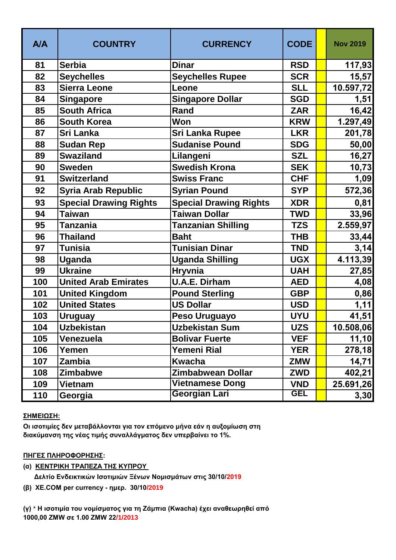| <b>A/A</b> | <b>COUNTRY</b>                | <b>CURRENCY</b>               | <b>CODE</b> | <b>Nov 2019</b> |
|------------|-------------------------------|-------------------------------|-------------|-----------------|
| 81         | <b>Serbia</b>                 | <b>Dinar</b>                  | <b>RSD</b>  | 117,93          |
| 82         | <b>Seychelles</b>             | <b>Seychelles Rupee</b>       | <b>SCR</b>  | 15,57           |
| 83         | <b>Sierra Leone</b>           | Leone                         | <b>SLL</b>  | 10.597,72       |
| 84         | Singapore                     | <b>Singapore Dollar</b>       | <b>SGD</b>  | 1,51            |
| 85         | <b>South Africa</b>           | Rand                          | <b>ZAR</b>  | 16,42           |
| 86         | <b>South Korea</b>            | Won                           | <b>KRW</b>  | 1.297,49        |
| 87         | Sri Lanka                     | <b>Sri Lanka Rupee</b>        | <b>LKR</b>  | 201,78          |
| 88         | <b>Sudan Rep</b>              | <b>Sudanise Pound</b>         | <b>SDG</b>  | 50,00           |
| 89         | <b>Swaziland</b>              | Lilangeni                     | <b>SZL</b>  | 16,27           |
| 90         | <b>Sweden</b>                 | <b>Swedish Krona</b>          | <b>SEK</b>  | 10,73           |
| 91         | <b>Switzerland</b>            | <b>Swiss Franc</b>            | <b>CHF</b>  | 1,09            |
| 92         | <b>Syria Arab Republic</b>    | <b>Syrian Pound</b>           | <b>SYP</b>  | 572,36          |
| 93         | <b>Special Drawing Rights</b> | <b>Special Drawing Rights</b> | <b>XDR</b>  | 0,81            |
| 94         | Taiwan                        | <b>Taiwan Dollar</b>          | TWD         | 33,96           |
| 95         | Tanzania                      | <b>Tanzanian Shilling</b>     | <b>TZS</b>  | 2.559,97        |
| 96         | <b>Thailand</b>               | <b>Baht</b>                   | <b>THB</b>  | 33,44           |
| 97         | <b>Tunisia</b>                | <b>Tunisian Dinar</b>         | <b>TND</b>  | 3,14            |
| 98         | Uganda                        | <b>Uganda Shilling</b>        | <b>UGX</b>  | 4.113,39        |
| 99         | <b>Ukraine</b>                | <b>Hryvnia</b>                | <b>UAH</b>  | 27,85           |
| 100        | <b>United Arab Emirates</b>   | <b>U.A.E. Dirham</b>          | <b>AED</b>  | 4,08            |
| 101        | <b>United Kingdom</b>         | <b>Pound Sterling</b>         | <b>GBP</b>  | 0,86            |
| 102        | <b>United States</b>          | <b>US Dollar</b>              | <b>USD</b>  | 1,11            |
| 103        | <b>Uruguay</b>                | Peso Uruguayo                 | <b>UYU</b>  | 41,51           |
| 104        | Uzbekistan                    | <b>Uzbekistan Sum</b>         | <b>UZS</b>  | 10.508,06       |
| 105        | Venezuela                     | <b>Bolivar Fuerte</b>         | <b>VEF</b>  | 11, 10          |
| 106        | Yemen                         | <b>Yemeni Rial</b>            | <b>YER</b>  | 278,18          |
| 107        | Zambia                        | <b>Kwacha</b>                 | <b>ZMW</b>  | 14,71           |
| 108        | Zimbabwe                      | <b>Zimbabwean Dollar</b>      | <b>ZWD</b>  | 402,21          |
| 109        | Vietnam                       | <b>Vietnamese Dong</b>        | <b>VND</b>  | 25.691,26       |
| 110        | Georgia                       | Georgian Lari                 | <b>GEL</b>  | 3,30            |

## **ΣΗΜΕΙΩΣΗ:**

**Οι ισοτιμίες δεν μεταβάλλονται για τον επόμενο μήνα εάν η αυξομίωση στη διακύμανση της νέας τιμής συναλλάγματος δεν υπερβαίνει το 1%.**

## **ΠΗΓΕΣ ΠΛΗΡΟΦΟΡΗΣΗΣ:**

- **(α) ΚΕΝΤΡΙΚΗ ΤΡΑΠΕΖΑ ΤΗΣ ΚΥΠΡΟΥ** 
	- **Δελτίο Ενδεικτικών Ισοτιμιών Ξένων Νομισμάτων στις 30/10/2019**
- **(β) XE.COM per currency ημερ. 30/10/2019**

**(γ)** \* **Η ισοτιμία του νομίσματος για τη Ζάμπια (Kwacha) έχει αναθεωρηθεί από 1000,00 ΖΜW σε 1.00 ΖΜW 22/1/2013**